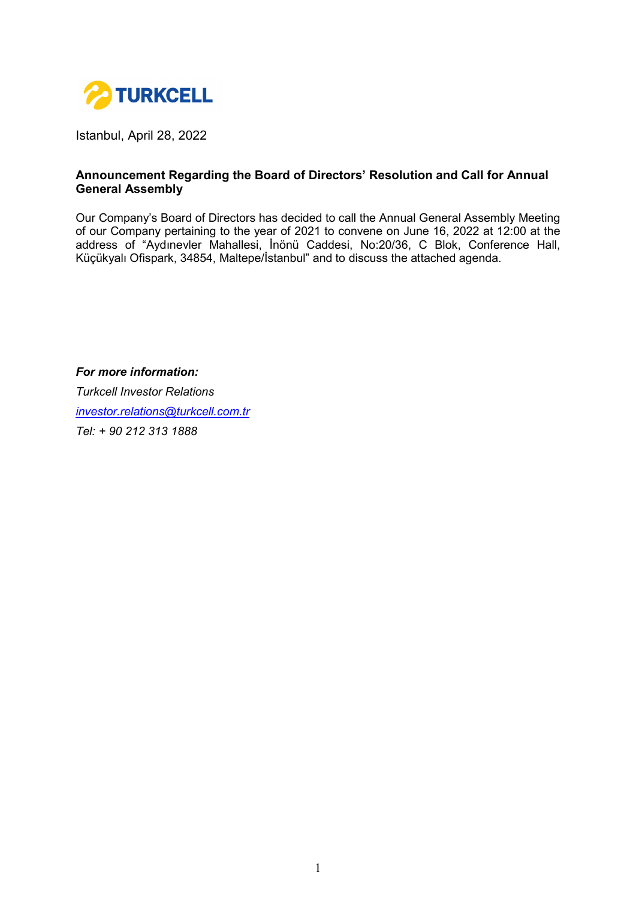

Istanbul, April 28, 2022

#### **Announcement Regarding the Board of Directors' Resolution and Call for Annual General Assembly**

Our Company's Board of Directors has decided to call the Annual General Assembly Meeting of our Company pertaining to the year of 2021 to convene on June 16, 2022 at 12:00 at the address of "Aydınevler Mahallesi, İnönü Caddesi, No:20/36, C Blok, Conference Hall, Küçükyalı Ofispark, 34854, Maltepe/İstanbul" and to discuss the attached agenda.

*For more information: Turkcell Investor Relations [investor.relations@turkcell.com.tr](mailto:investor.relations@turkcell.com.tr) Tel: + 90 212 313 1888*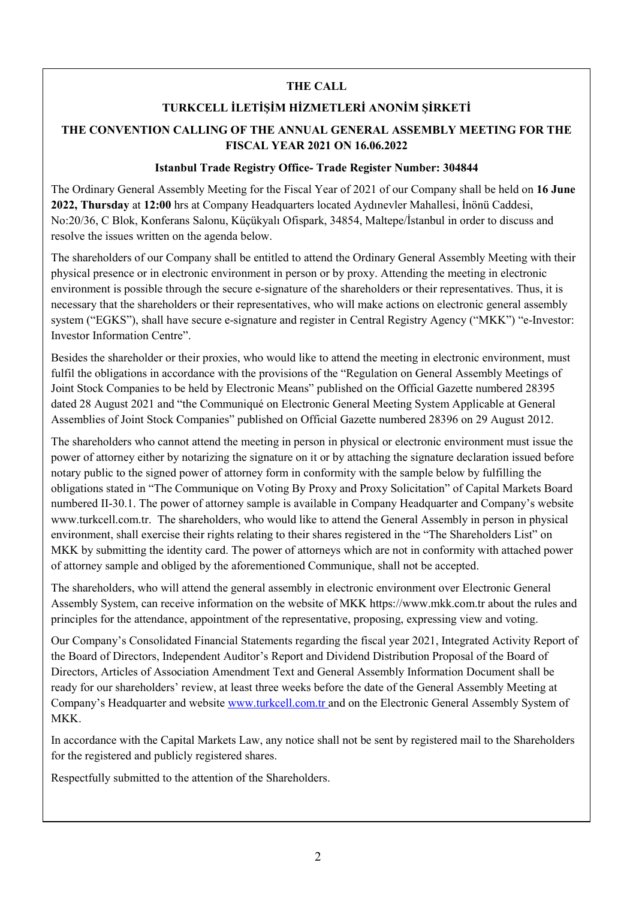#### **THE CALL**

## **TURKCELL İLETİŞİM HİZMETLERİ ANONİM ŞİRKETİ**

# **THE CONVENTION CALLING OF THE ANNUAL GENERAL ASSEMBLY MEETING FOR THE FISCAL YEAR 2021 ON 16.06.2022**

#### **Istanbul Trade Registry Office- Trade Register Number: 304844**

The Ordinary General Assembly Meeting for the Fiscal Year of 2021 of our Company shall be held on **16 June 2022, Thursday** at **12:00** hrs at Company Headquarters located Aydınevler Mahallesi, İnönü Caddesi, No:20/36, C Blok, Konferans Salonu, Küçükyalı Ofispark, 34854, Maltepe/İstanbul in order to discuss and resolve the issues written on the agenda below.

The shareholders of our Company shall be entitled to attend the Ordinary General Assembly Meeting with their physical presence or in electronic environment in person or by proxy. Attending the meeting in electronic environment is possible through the secure e-signature of the shareholders or their representatives. Thus, it is necessary that the shareholders or their representatives, who will make actions on electronic general assembly system ("EGKS"), shall have secure e-signature and register in Central Registry Agency ("MKK") "e-Investor: Investor Information Centre".

Besides the shareholder or their proxies, who would like to attend the meeting in electronic environment, must fulfil the obligations in accordance with the provisions of the "Regulation on General Assembly Meetings of Joint Stock Companies to be held by Electronic Means" published on the Official Gazette numbered 28395 dated 28 August 2021 and "the Communiqué on Electronic General Meeting System Applicable at General Assemblies of Joint Stock Companies" published on Official Gazette numbered 28396 on 29 August 2012.

The shareholders who cannot attend the meeting in person in physical or electronic environment must issue the power of attorney either by notarizing the signature on it or by attaching the signature declaration issued before notary public to the signed power of attorney form in conformity with the sample below by fulfilling the obligations stated in "The Communique on Voting By Proxy and Proxy Solicitation" of Capital Markets Board numbered II-30.1. The power of attorney sample is available in Company Headquarter and Company's website [www.turkcell.com.tr.](http://www.turkcell.com.tr/) The shareholders, who would like to attend the General Assembly in person in physical environment, shall exercise their rights relating to their shares registered in the "The Shareholders List" on MKK by submitting the identity card. The power of attorneys which are not in conformity with attached power of attorney sample and obliged by the aforementioned Communique, shall not be accepted.

The shareholders, who will attend the general assembly in electronic environment over Electronic General Assembly System, can receive information on the website of MKK [https://www.mkk.com.tr](https://www.mkk.com.tr/) about the rules and principles for the attendance, appointment of the representative, proposing, expressing view and voting.

Our Company's Consolidated Financial Statements regarding the fiscal year 2021, Integrated Activity Report of the Board of Directors, Independent Auditor's Report and Dividend Distribution Proposal of the Board of Directors, Articles of Association Amendment Text and General Assembly Information Document shall be ready for our shareholders' review, at least three weeks before the date of the General Assembly Meeting at Company's Headquarter and website [www.turkcell.com.tr](http://www.turkcell.com.tr/) and on the Electronic General Assembly System of MKK.

In accordance with the Capital Markets Law, any notice shall not be sent by registered mail to the Shareholders for the registered and publicly registered shares.

Respectfully submitted to the attention of the Shareholders.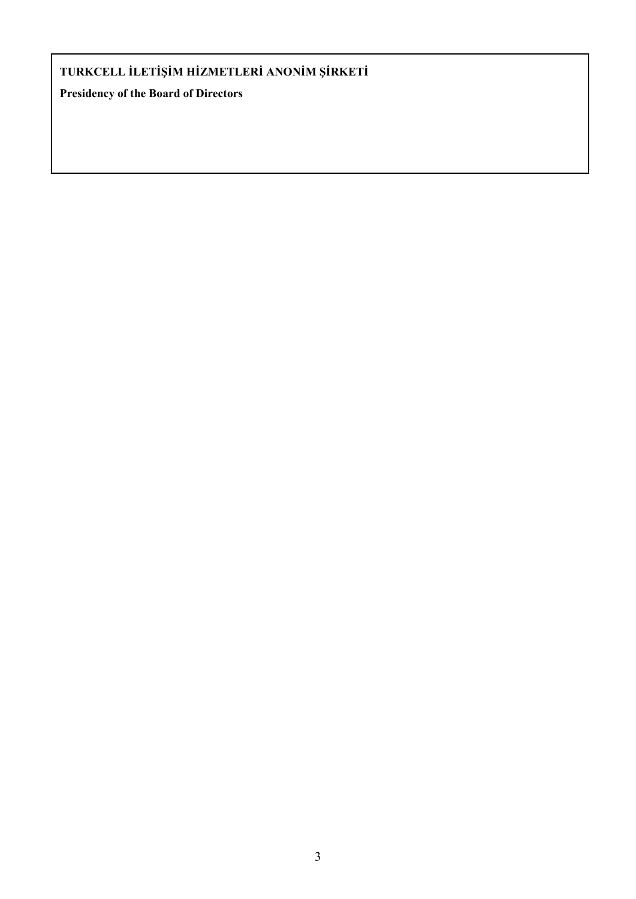# **TURKCELL İLETİŞİM HİZMETLERİ ANONİM ŞİRKETİ**

**Presidency of the Board of Directors**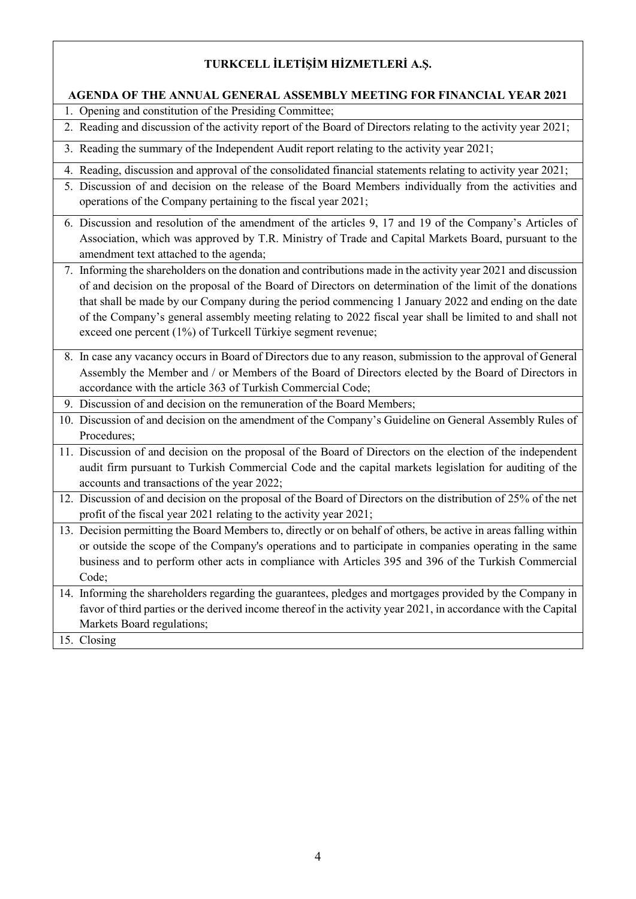# **TURKCELL İLETİŞİM HİZMETLERİ A.Ş.**

#### **AGENDA OF THE ANNUAL GENERAL ASSEMBLY MEETING FOR FINANCIAL YEAR 2021**

- 1. Opening and constitution of the Presiding Committee;
- 2. Reading and discussion of the activity report of the Board of Directors relating to the activity year 2021;
- 3. Reading the summary of the Independent Audit report relating to the activity year 2021;
- 4. Reading, discussion and approval of the consolidated financial statements relating to activity year 2021;
- 5. Discussion of and decision on the release of the Board Members individually from the activities and operations of the Company pertaining to the fiscal year 2021;
- 6. Discussion and resolution of the amendment of the articles 9, 17 and 19 of the Company's Articles of Association, which was approved by T.R. Ministry of Trade and Capital Markets Board, pursuant to the amendment text attached to the agenda;
- 7. Informing the shareholders on the donation and contributions made in the activity year 2021 and discussion of and decision on the proposal of the Board of Directors on determination of the limit of the donations that shall be made by our Company during the period commencing 1 January 2022 and ending on the date of the Company's general assembly meeting relating to 2022 fiscal year shall be limited to and shall not exceed one percent (1%) of Turkcell Türkiye segment revenue;
- 8. In case any vacancy occurs in Board of Directors due to any reason, submission to the approval of General Assembly the Member and / or Members of the Board of Directors elected by the Board of Directors in accordance with the article 363 of Turkish Commercial Code;
- 9. Discussion of and decision on the remuneration of the Board Members;
- 10. Discussion of and decision on the amendment of the Company's Guideline on General Assembly Rules of Procedures;
- 11. Discussion of and decision on the proposal of the Board of Directors on the election of the independent audit firm pursuant to Turkish Commercial Code and the capital markets legislation for auditing of the accounts and transactions of the year 2022;
- 12. Discussion of and decision on the proposal of the Board of Directors on the distribution of 25% of the net profit of the fiscal year 2021 relating to the activity year 2021;
- 13. Decision permitting the Board Members to, directly or on behalf of others, be active in areas falling within or outside the scope of the Company's operations and to participate in companies operating in the same business and to perform other acts in compliance with Articles 395 and 396 of the Turkish Commercial Code;
- 14. Informing the shareholders regarding the guarantees, pledges and mortgages provided by the Company in favor of third parties or the derived income thereof in the activity year 2021, in accordance with the Capital Markets Board regulations;
- 15. Closing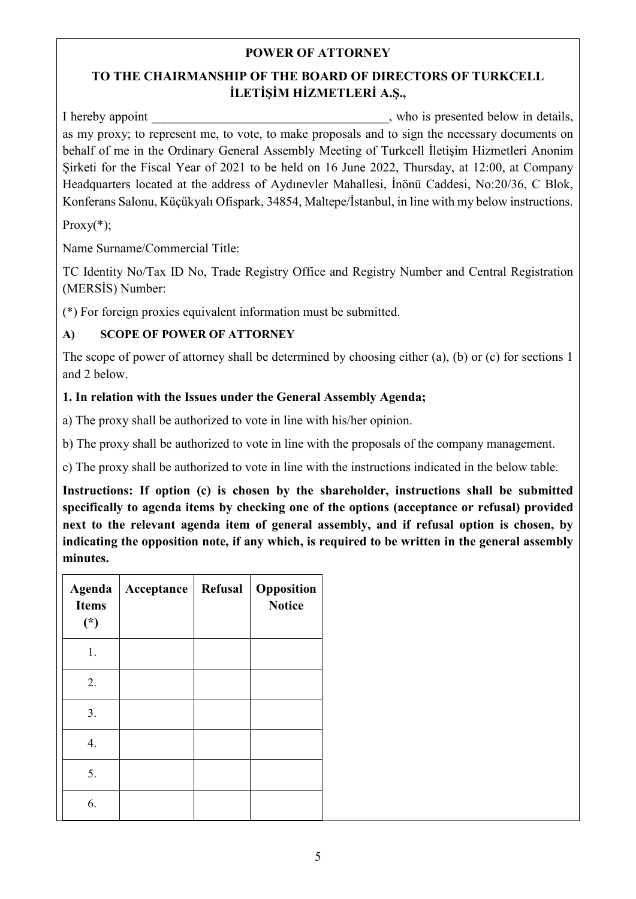## **POWER OF ATTORNEY**

# **TO THE CHAIRMANSHIP OF THE BOARD OF DIRECTORS OF TURKCELL İLETİŞİM HİZMETLERİ A.Ş.,**

I hereby appoint who is presented below in details, as my proxy; to represent me, to vote, to make proposals and to sign the necessary documents on behalf of me in the Ordinary General Assembly Meeting of Turkcell İletişim Hizmetleri Anonim Şirketi for the Fiscal Year of 2021 to be held on 16 June 2022, Thursday, at 12:00, at Company Headquarters located at the address of Aydınevler Mahallesi, İnönü Caddesi, No:20/36, C Blok, Konferans Salonu, Küçükyalı Ofispark, 34854, Maltepe/İstanbul, in line with my below instructions.

 $Proxy(*)$ ;

Name Surname/Commercial Title:

TC Identity No/Tax ID No, Trade Registry Office and Registry Number and Central Registration (MERSİS) Number:

(\*) For foreign proxies equivalent information must be submitted.

# **A) SCOPE OF POWER OF ATTORNEY**

The scope of power of attorney shall be determined by choosing either (a), (b) or (c) for sections 1 and 2 below.

# **1. In relation with the Issues under the General Assembly Agenda;**

a) The proxy shall be authorized to vote in line with his/her opinion.

b) The proxy shall be authorized to vote in line with the proposals of the company management.

c) The proxy shall be authorized to vote in line with the instructions indicated in the below table.

**Instructions: If option (c) is chosen by the shareholder, instructions shall be submitted specifically to agenda items by checking one of the options (acceptance or refusal) provided next to the relevant agenda item of general assembly, and if refusal option is chosen, by indicating the opposition note, if any which, is required to be written in the general assembly minutes.**

| <b>Agenda</b><br><b>Items</b><br>$(*)$ | Acceptance | Refusal | Opposition<br><b>Notice</b> |
|----------------------------------------|------------|---------|-----------------------------|
| 1.                                     |            |         |                             |
| 2.                                     |            |         |                             |
| 3.                                     |            |         |                             |
| 4.                                     |            |         |                             |
| 5.                                     |            |         |                             |
| 6.                                     |            |         |                             |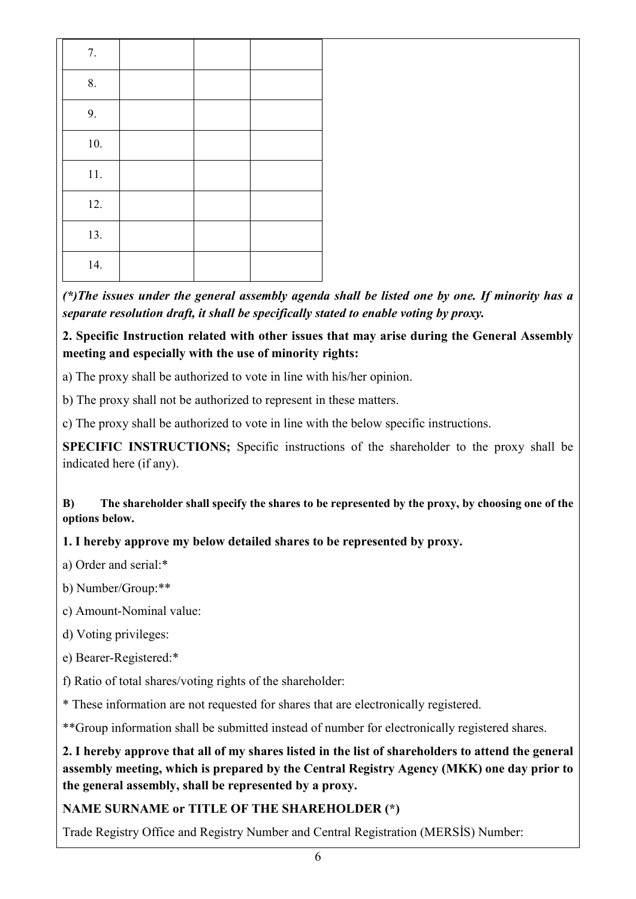| 7.       |  |  |
|----------|--|--|
| 8.       |  |  |
| 9.       |  |  |
| $10. \,$ |  |  |
| 11.      |  |  |
| 12.      |  |  |
| 13.      |  |  |
| 14.      |  |  |

*(\*)The issues under the general assembly agenda shall be listed one by one. If minority has a separate resolution draft, it shall be specifically stated to enable voting by proxy.*

**2. Specific Instruction related with other issues that may arise during the General Assembly meeting and especially with the use of minority rights:**

a) The proxy shall be authorized to vote in line with his/her opinion.

b) The proxy shall not be authorized to represent in these matters.

c) The proxy shall be authorized to vote in line with the below specific instructions.

**SPECIFIC INSTRUCTIONS;** Specific instructions of the shareholder to the proxy shall be indicated here (if any).

**B) The shareholder shall specify the shares to be represented by the proxy, by choosing one of the options below.** 

# **1. I hereby approve my below detailed shares to be represented by proxy.**

a) Order and serial:\*

b) Number/Group:\*\*

c) Amount-Nominal value:

d) Voting privileges:

e) Bearer-Registered:\*

f) Ratio of total shares/voting rights of the shareholder:

\* These information are not requested for shares that are electronically registered.

\*\*Group information shall be submitted instead of number for electronically registered shares.

**2. I hereby approve that all of my shares listed in the list of shareholders to attend the general assembly meeting, which is prepared by the Central Registry Agency (MKK) one day prior to the general assembly, shall be represented by a proxy.** 

# **NAME SURNAME or TITLE OF THE SHAREHOLDER (\*)**

Trade Registry Office and Registry Number and Central Registration (MERSİS) Number: